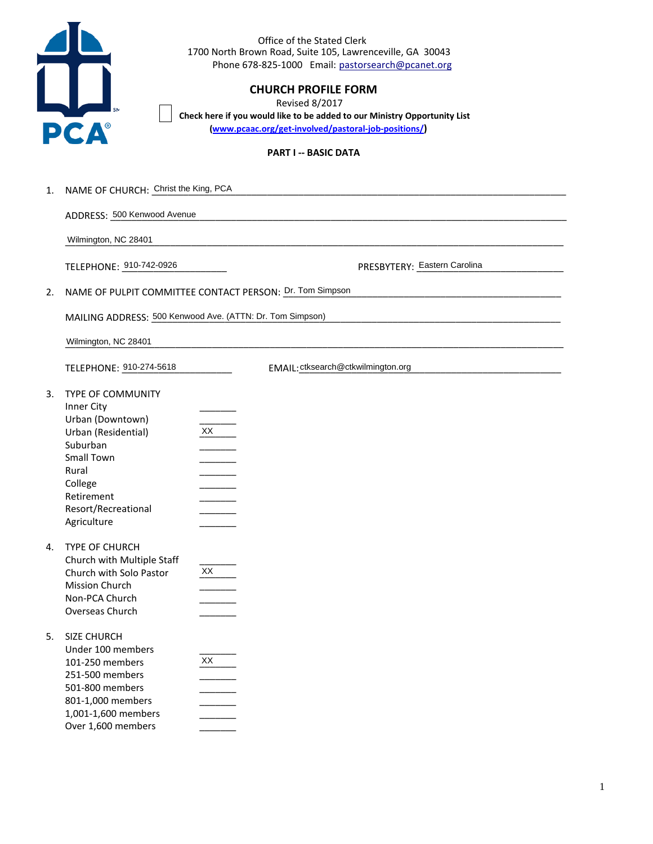

Office of the Stated Clerk 1700 North Brown Road, Suite 105, Lawrenceville, GA 30043 Phone 678-825-1000 Email: pastorsearch@pcanet.org

# **CHURCH PROFILE FORM**

**Revised 8/2017** Check here if you would like to be added to our Ministry Opportunity List (www.pcaac.org/get-involved/pastoral-job-positions/)

## **PART I -- BASIC DATA**

| 1. | NAME OF CHURCH: Christ the King, PCA                                                                                                                                         |                                                          |  |  |  |  |  |  |
|----|------------------------------------------------------------------------------------------------------------------------------------------------------------------------------|----------------------------------------------------------|--|--|--|--|--|--|
|    | ADDRESS: 500 Kenwood Avenue                                                                                                                                                  |                                                          |  |  |  |  |  |  |
|    | Wilmington, NC 28401                                                                                                                                                         |                                                          |  |  |  |  |  |  |
|    | TELEPHONE: 910-742-0926                                                                                                                                                      | PRESBYTERY: Eastern Carolina                             |  |  |  |  |  |  |
| 2. |                                                                                                                                                                              | NAME OF PULPIT COMMITTEE CONTACT PERSON: Dr. Tom Simpson |  |  |  |  |  |  |
|    | MAILING ADDRESS: 500 Kenwood Ave. (ATTN: Dr. Tom Simpson)                                                                                                                    |                                                          |  |  |  |  |  |  |
|    | Wilmington, NC 28401                                                                                                                                                         |                                                          |  |  |  |  |  |  |
|    | TELEPHONE: 910-274-5618                                                                                                                                                      | EMAIL: ctksearch@ctkwilmington.org                       |  |  |  |  |  |  |
| 3. | TYPE OF COMMUNITY<br>Inner City<br>Urban (Downtown)<br>Urban (Residential)<br>Suburban<br>Small Town<br>Rural<br>College<br>Retirement<br>Resort/Recreational<br>Agriculture | XX                                                       |  |  |  |  |  |  |
| 4. | TYPE OF CHURCH<br>Church with Multiple Staff<br>Church with Solo Pastor<br>Mission Church<br>Non-PCA Church<br>Overseas Church                                               | XX                                                       |  |  |  |  |  |  |
| 5. | <b>SIZE CHURCH</b><br>Under 100 members<br>101-250 members<br>251-500 members<br>501-800 members<br>801-1,000 members<br>1,001-1,600 members<br>Over 1,600 members           | XX                                                       |  |  |  |  |  |  |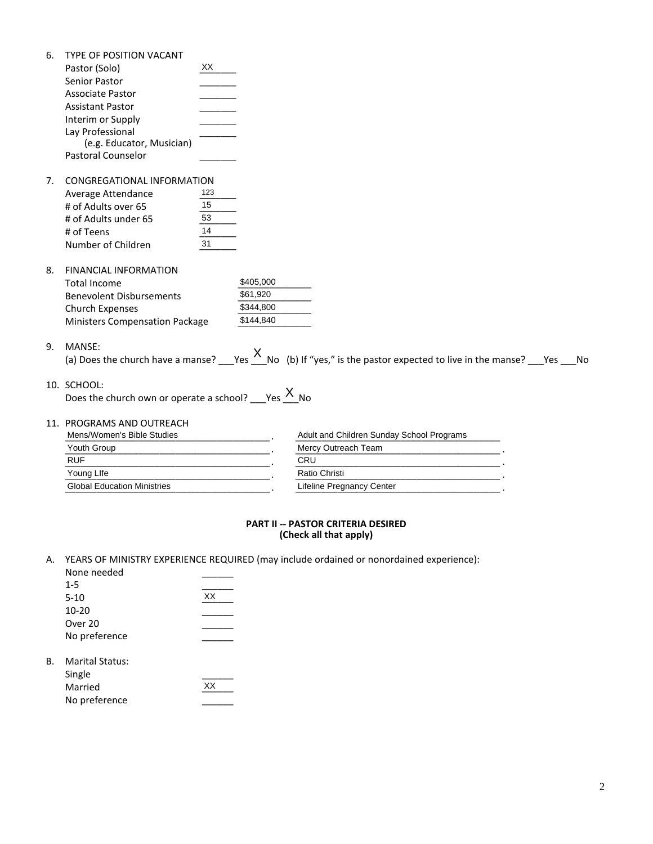|    | TYPE OF POSITION VACANT                                   |           |                                                                                                                                   |  |  |  |  |  |
|----|-----------------------------------------------------------|-----------|-----------------------------------------------------------------------------------------------------------------------------------|--|--|--|--|--|
|    | Pastor (Solo)                                             | XX.       |                                                                                                                                   |  |  |  |  |  |
|    | Senior Pastor                                             |           |                                                                                                                                   |  |  |  |  |  |
|    | <b>Associate Pastor</b>                                   |           |                                                                                                                                   |  |  |  |  |  |
|    | <b>Assistant Pastor</b>                                   |           |                                                                                                                                   |  |  |  |  |  |
|    | Interim or Supply                                         |           |                                                                                                                                   |  |  |  |  |  |
|    | Lay Professional                                          |           |                                                                                                                                   |  |  |  |  |  |
|    | (e.g. Educator, Musician)                                 |           |                                                                                                                                   |  |  |  |  |  |
|    | Pastoral Counselor                                        |           |                                                                                                                                   |  |  |  |  |  |
| 7. | CONGREGATIONAL INFORMATION                                |           |                                                                                                                                   |  |  |  |  |  |
|    | Average Attendance                                        | 123       |                                                                                                                                   |  |  |  |  |  |
|    | # of Adults over 65                                       | 15        |                                                                                                                                   |  |  |  |  |  |
|    | # of Adults under 65                                      | 53        |                                                                                                                                   |  |  |  |  |  |
|    | # of Teens                                                | 14        |                                                                                                                                   |  |  |  |  |  |
|    | Number of Children                                        | 31        |                                                                                                                                   |  |  |  |  |  |
| 8. | <b>FINANCIAL INFORMATION</b>                              |           |                                                                                                                                   |  |  |  |  |  |
|    | <b>Total Income</b>                                       | \$405,000 |                                                                                                                                   |  |  |  |  |  |
|    | <b>Benevolent Disbursements</b>                           | \$61,920  |                                                                                                                                   |  |  |  |  |  |
|    | Church Expenses                                           | \$344,800 |                                                                                                                                   |  |  |  |  |  |
|    | <b>Ministers Compensation Package</b>                     | \$144,840 |                                                                                                                                   |  |  |  |  |  |
| 9. | MANSE:                                                    |           |                                                                                                                                   |  |  |  |  |  |
|    |                                                           |           | (a) Does the church have a manse? ___Yes $\frac{X}{Y}$ No (b) If "yes," is the pastor expected to live in the manse? ___Yes ___No |  |  |  |  |  |
|    | 10. SCHOOL:                                               |           |                                                                                                                                   |  |  |  |  |  |
|    | Does the church own or operate a school? $\frac{X}{x}$ No |           |                                                                                                                                   |  |  |  |  |  |
|    | 11. PROGRAMS AND OUTREACH                                 |           |                                                                                                                                   |  |  |  |  |  |
|    | Mens/Women's Bible Studies                                |           | Adult and Children Sunday School Programs                                                                                         |  |  |  |  |  |
|    | Youth Group                                               |           | Mercy Outreach Team                                                                                                               |  |  |  |  |  |
|    | <b>RUF</b>                                                |           | CRU                                                                                                                               |  |  |  |  |  |
|    | Young Llfe                                                |           | Ratio Christi                                                                                                                     |  |  |  |  |  |
|    | <b>Global Education Ministries</b>                        |           | Lifeline Pregnancy Center                                                                                                         |  |  |  |  |  |

# PART II -- PASTOR CRITERIA DESIRED<br>(Check all that apply)

A. YEARS OF MINISTRY EXPERIENCE REQUIRED (may include ordained or nonordained experience):

| None needed            |    |
|------------------------|----|
| $1 - 5$                |    |
| $5-10$                 | XX |
| $10 - 20$              |    |
| Over 20                |    |
| No preference          |    |
| <b>Marital Status:</b> |    |
| Single                 |    |
| Married                | XX |
| No preference          |    |

В.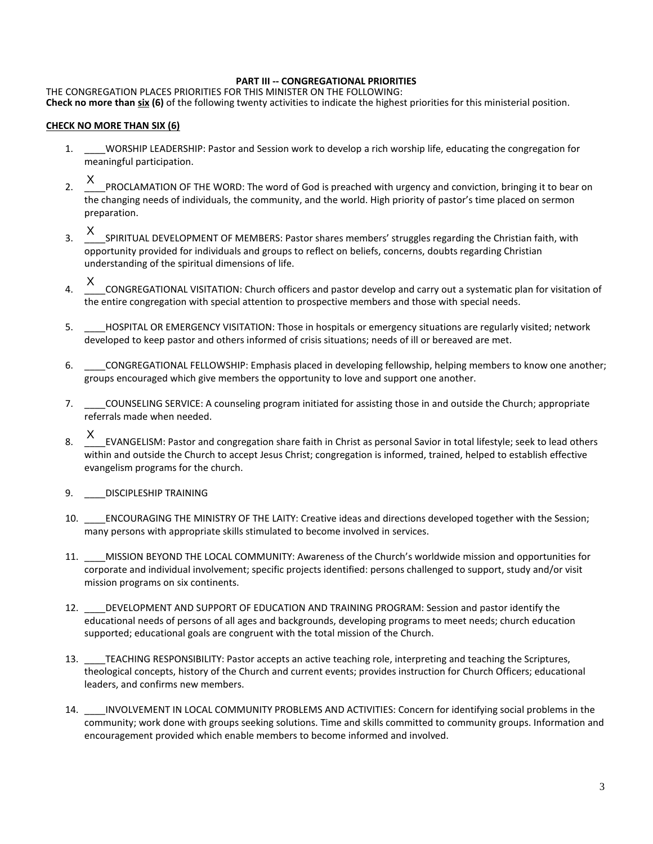#### PART III -- CONGREGATIONAL PRIORITIES

THE CONGREGATION PLACES PRIORITIES FOR THIS MINISTER ON THE FOLLOWING: Check no more than six (6) of the following twenty activities to indicate the highest priorities for this ministerial position.

#### **CHECK NO MORE THAN SIX (6)**

- WORSHIP LEADERSHIP: Pastor and Session work to develop a rich worship life, educating the congregation for  $1.$ meaningful participation.
- X PROCLAMATION OF THE WORD: The word of God is preached with urgency and conviction, bringing it to bear on  $2.$ the changing needs of individuals, the community, and the world. High priority of pastor's time placed on sermon preparation.
- X SPIRITUAL DEVELOPMENT OF MEMBERS: Pastor shares members' struggles regarding the Christian faith, with  $\mathbf{a}$ opportunity provided for individuals and groups to reflect on beliefs, concerns, doubts regarding Christian understanding of the spiritual dimensions of life.
- $X$ <sub>\_CONGREGATIONAL</sub> VISITATION: Church officers and pastor develop and carry out a systematic plan for visitation of  $4.$ the entire congregation with special attention to prospective members and those with special needs.
- 5. HOSPITAL OR EMERGENCY VISITATION: Those in hospitals or emergency situations are regularly visited; network developed to keep pastor and others informed of crisis situations; needs of ill or bereaved are met.
- $6.$ CONGREGATIONAL FELLOWSHIP: Emphasis placed in developing fellowship, helping members to know one another; groups encouraged which give members the opportunity to love and support one another.
- 7. \_\_\_\_COUNSELING SERVICE: A counseling program initiated for assisting those in and outside the Church; appropriate referrals made when needed.
- X EVANGELISM: Pastor and congregation share faith in Christ as personal Savior in total lifestyle; seek to lead others 8. within and outside the Church to accept Jesus Christ; congregation is informed, trained, helped to establish effective evangelism programs for the church.
- 9. DISCIPLESHIP TRAINING
- 10. ENCOURAGING THE MINISTRY OF THE LAITY: Creative ideas and directions developed together with the Session; many persons with appropriate skills stimulated to become involved in services.
- 11.  $-$ MISSION BEYOND THE LOCAL COMMUNITY: Awareness of the Church's worldwide mission and opportunities for corporate and individual involvement; specific projects identified: persons challenged to support, study and/or visit mission programs on six continents.
- $12.$ DEVELOPMENT AND SUPPORT OF EDUCATION AND TRAINING PROGRAM: Session and pastor identify the educational needs of persons of all ages and backgrounds, developing programs to meet needs; church education supported; educational goals are congruent with the total mission of the Church.
- 13. TEACHING RESPONSIBILITY: Pastor accepts an active teaching role, interpreting and teaching the Scriptures, theological concepts, history of the Church and current events; provides instruction for Church Officers; educational leaders, and confirms new members.
- 14. INVOLVEMENT IN LOCAL COMMUNITY PROBLEMS AND ACTIVITIES: Concern for identifying social problems in the community; work done with groups seeking solutions. Time and skills committed to community groups. Information and encouragement provided which enable members to become informed and involved.